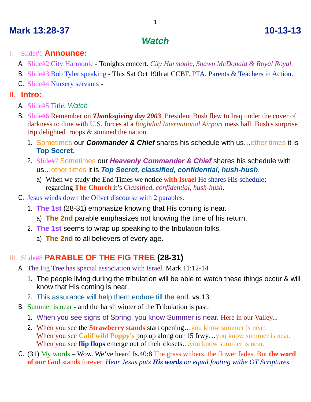## **Mark 13:28-37 10-13-13**

## *Watch*

#### I. Slide#1 **Announce:**

- A. Slide#2 City Harmonic Tonights concert. *City Harmonic, Shawn McDonald & Royal Royal.*
- B. Slide#3 Bob Tyler speaking This Sat Oct 19th at CCBF. PTA, Parents & Teachers in Action.
- C. Slide#4 Nursery servants -

### II. **Intro:**

- A. Slide#5 Title: *Watch*
- B. Slide#6 Remember on *Thanksgiving day 2003*, President Bush flew to Iraq under the cover of darkness to dine with U.S. forces at a *Baghdad International Airport* mess hall. Bush's surprise trip delighted troops & stunned the nation.
	- 1. Sometimes our *Commander & Chief* shares his schedule with us…other times it is **Top Secret**.
	- 2. Slide#7 Sometimes our *Heavenly Commander & Chief* shares his schedule with us…other times it is *Top Secret, classified, confidential, hush-hush*.
		- a) When we study the End Times we notice **with Israel** He shares His schedule; regarding **The Church** it's *Classified, confidential, hush-hush*.
- C. Jesus winds down the Olivet discourse with 2 parables.
	- 1. **The 1st** (28-31) emphasize knowing that His coming is near.
		- a) **The 2nd** parable emphasizes not knowing the time of his return.
	- 2. **The 1st** seems to wrap up speaking to the tribulation folks.
		- a) **The 2nd** to all believers of every age.

# III. Slide#8 **PARABLE OF THE FIG TREE (28-31)**

- A. The Fig Tree has special association with Israel. Mark 11:12-14
	- 1. The people living during the tribulation will be able to watch these things occur & will know that His coming is near.
	- 2. This assurance will help them endure till the end. vs.13
- B. Summer is near and the harsh winter of the Tribulation is past.
	- 1. When you see signs of Spring, you know Summer is near. Here in our Valley...
	- 2. When you see the **Strawberry stands** start opening…you know summer is near. When you see **Calif wild Poppy's** pop up along our 15 frwy...you know summer is near. When you see **flip flops** emerge out of their closets...you know summer is near.
- C. (31) My words Wow. We've heard Is.40:8 The grass withers, the flower fades, But **the word of our God** stands forever. *Hear Jesus puts His words on equal footing w/the OT Scriptures.*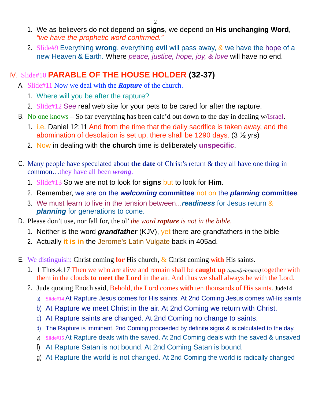- 1. We as believers do not depend on **signs**, we depend on **His unchanging Word**, *"we have the prophetic word confirmed."*
- 2. Slide#9 Everything **wrong**, everything **evil** will pass away, & we have the hope of a new Heaven & Earth. Where *peace, justice, hope, joy, & love* will have no end.

## IV. Slide#10 **PARABLE OF THE HOUSE HOLDER (32-37)**

- A. Slide#11 Now we deal with the *Rapture* of the church.
	- 1. Where will you be after the rapture?
	- 2. Slide#12 See real web site for your pets to be cared for after the rapture.
- B. No one knows So far everything has been calc'd out down to the day in dealing w/Israel.
	- 1. i.e. Daniel 12:11 And from the time that the daily sacrifice is taken away, and the abomination of desolation is set up, there shall be 1290 days. (3 ½ yrs)
	- 2. Now in dealing with **the church** time is deliberately **unspecific**.
- C. Many people have speculated about **the date** of Christ's return & they all have one thing in common…they have all been *wrong*.
	- 1. Slide#13 So we are not to look for **signs** but to look for **Him**.
	- 2. Remember, we are on the *welcoming* **committee** not on the *planning* **committee***.*
	- 3. We must learn to live in the tension between...*readiness* for Jesus return & *planning* for generations to come.
- D. Please don't use, nor fall for, the ol' *the word rapture is not in the bible.*
	- 1. Neither is the word *grandfather* (KJV), yet there are grandfathers in the bible
	- 2. Actually **it is in** the Jerome's Latin Vulgate back in 405ad.
- E. We distinguish: Christ coming **for** His church, & Christ coming **with** His saints.
	- 1. 1 Thes.4:17 Then we who are alive and remain shall be **caught up** *(αρπαζο/arpazo)* together with them in the clouds **to meet the Lord** in the air. And thus we shall always be with the Lord.
	- 2. Jude quoting Enoch said, Behold, the Lord comes **with** ten thousands of His saints. Jude14
		- a) **Slide#14** At Rapture Jesus comes for His saints. At 2nd Coming Jesus comes w/His saints
		- b) At Rapture we meet Christ in the air. At 2nd Coming we return with Christ.
		- c) At Rapture saints are changed. At 2nd Coming no change to saints.
		- d) The Rapture is imminent. 2nd Coming proceeded by definite signs & is calculated to the day.
		- e) **Slide#15** At Rapture deals with the saved. At 2nd Coming deals with the saved & unsaved
		- f) At Rapture Satan is not bound. At 2nd Coming Satan is bound.
		- g) At Rapture the world is not changed. At 2nd Coming the world is radically changed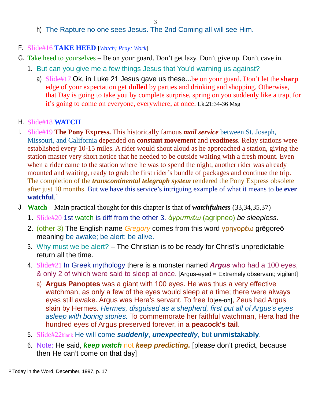3

- h) The Rapture no one sees Jesus. The 2nd Coming all will see Him.
- F. Slide#16 **TAKE HEED** [*Watch; Pray; Work*]
- G. Take heed to yourselves Be on your guard. Don't get lazy. Don't give up. Don't cave in.
	- 1. But can you give me a few things Jesus that You'd warning us against?
		- a) Slide#17 Ok, in Luke 21 Jesus gave us these...be on your guard. Don't let the **sharp** edge of your expectation get **dulled** by parties and drinking and shopping. Otherwise, that Day is going to take you by complete surprise, spring on you suddenly like a trap, for it's going to come on everyone, everywhere, at once. Lk.21:34-36 Msg
- H. Slide#18 **WATCH**
- I. Slide#19 **The Pony Express.** This historically famous *mail service* between St. Joseph, Missouri, and California depended on **constant movement** and **readiness**. Relay stations were established every 10-15 miles. A rider would shout aloud as he approached a station, giving the station master very short notice that he needed to be outside waiting with a fresh mount. Even when a rider came to the station where he was to spend the night, another rider was already mounted and waiting, ready to grab the first rider's bundle of packages and continue the trip. The completion of the *transcontinental telegraph system* rendered the Pony Express obsolete after just 18 months. But we have this service's intriguing example of what it means to be **ever watchful**. [1](#page-2-0)
- J. **Watch**  Main practical thought for this chapter is that of *watchfulness* (33,34,35,37)
	- 1. Slide#20 1st watch is diff from the other 3. *ἀγρυπνέω* (agripneo) *be sleepless*.
	- 2. (other 3) The English name *Gregory* comes from this word γρηγορέω grēgoreō meaning be awake; be alert; be alive.
	- 3. Why must we be alert? The Christian is to be ready for Christ's unpredictable return all the time.
	- 4. Slide#21 In Greek mythology there is a monster named *Argus* who had a 100 eyes, & only 2 of which were said to sleep at once. [Argus-eyed = Extremely observant; vigilant]
		- a) **Argus Panoptes** was a giant with 100 eyes. He was thus a very effective watchman, as only a few of the eyes would sleep at a time; there were always eyes still awake. Argus was Hera's servant. To free Io[ee-oh], Zeus had Argus slain by Hermes. *Hermes, disguised as a shepherd, first put all of Argus's eyes asleep with boring stories.* To commemorate her faithful watchman, Hera had the hundred eyes of Argus preserved forever, in a **peacock's tail**.
	- 5. Slide#22blank He will come *suddenly*, *unexpectedly*, but **unmistakably**.
	- 6. Note: He said, *keep watch* not *keep predicting.* [please don't predict, because then He can't come on that day]

<span id="page-2-0"></span><sup>1</sup> Today in the Word, December, 1997, p. 17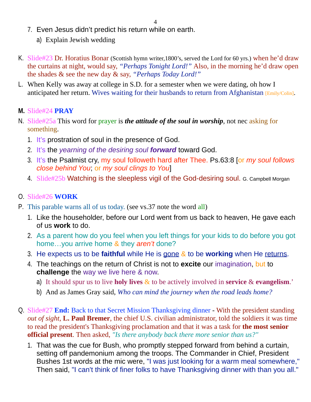- 7. Even Jesus didn't predict his return while on earth.
	- a) Explain Jewish wedding
- K. Slide#23 Dr. Horatius Bonar (Scottish hymn writer,1800's, served the Lord for 60 yrs.) when he'd draw the curtains at night, would say, *"Perhaps Tonight Lord!"* Also, in the morning he'd draw open the shades & see the new day & say, *"Perhaps Today Lord!"*
- L. When Kelly was away at college in S.D. for a semester when we were dating, oh how I anticipated her return. Wives waiting for their husbands to return from Afghanistan [Emily/Colin].
- **M.** Slide#24 **PRAY**
- N. Slide#25a This word for prayer is *the attitude of the soul in worship*, not nec asking for something.
	- 1. It's prostration of soul in the presence of God.
	- 2. It's the *yearning of the desiring soul forward* toward God.
	- 3. It's the Psalmist cry, my soul followeth hard after Thee. Ps.63:8 [or *my soul follows close behind You*; or *my soul clings to You*]
	- 4. Slide#25b Watching is the sleepless vigil of the God-desiring soul. G. Campbell Morgan

#### O. Slide#26 **WORK**

- P. This parable warns all of us today. (see vs.37 note the word all)
	- 1. Like the householder, before our Lord went from us back to heaven, He gave each of us **work** to do.
	- 2. As a parent how do you feel when you left things for your kids to do before you got home…you arrive home & they *aren't* done?
	- 3. He expects us to be **faithful** while He is gone & to be **working** when He returns.
	- 4. The teachings on the return of Christ is not to **excite** our imagination, but to **challenge** the way we live here & now.
		- a) It should spur us to live **holy lives** & to be actively involved in **service** & **evangelism**.'
		- b) And as James Gray said, *Who can mind the journey when the road leads home?*
- Q. Slide#27 **End:** Back to that Secret Mission Thanksgiving dinner With the president standing *out of sight*, **L. Paul Bremer**, the chief U.S. civilian administrator, told the soldiers it was time to read the president's Thanksgiving proclamation and that it was a task for **the most senior official present**. Then asked, *"Is there anybody back there more senior than us?"* 
	- 1. That was the cue for Bush, who promptly stepped forward from behind a curtain, setting off pandemonium among the troops. The Commander in Chief, President Bushes 1st words at the mic were, "I was just looking for a warm meal somewhere," Then said, "I can't think of finer folks to have Thanksgiving dinner with than you all."